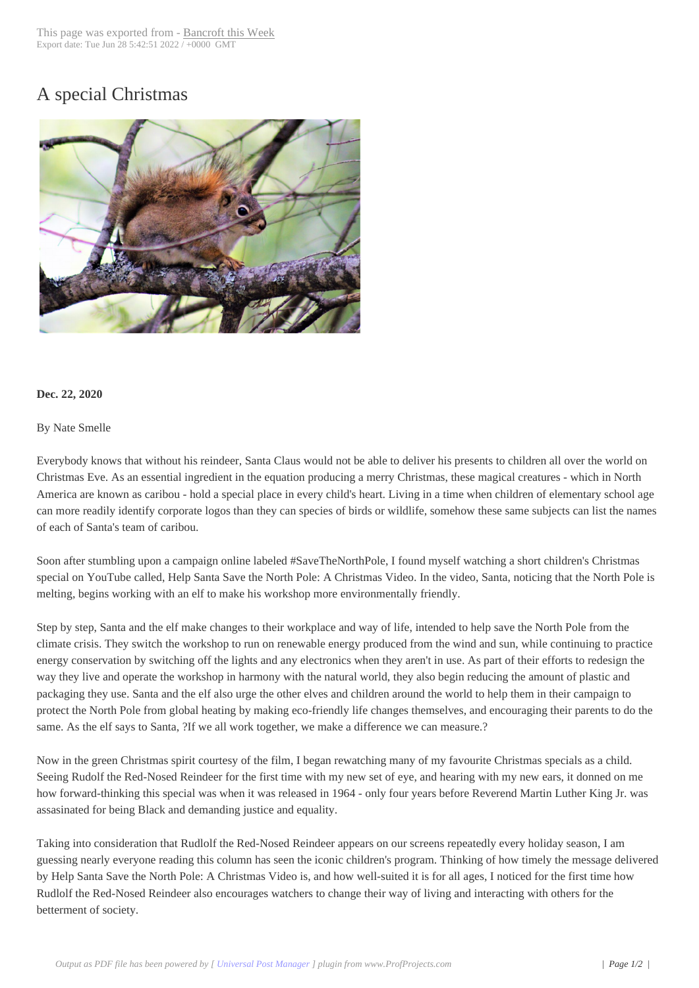## A special Christma[s](http://www.bancroftthisweek.com/?p=11157)



## **Dec. 22, 2020**

## By Nate Smelle

Everybody knows that without his reindeer, Santa Claus would not be able to deliver his presents to children all over the world on Christmas Eve. As an essential ingredient in the equation producing a merry Christmas, these magical creatures - which in North America are known as caribou - hold a special place in every child's heart. Living in a time when children of elementary school age can more readily identify corporate logos than they can species of birds or wildlife, somehow these same subjects can list the names of each of Santa's team of caribou.

Soon after stumbling upon a campaign online labeled #SaveTheNorthPole, I found myself watching a short children's Christmas special on YouTube called, Help Santa Save the North Pole: A Christmas Video. In the video, Santa, noticing that the North Pole is melting, begins working with an elf to make his workshop more environmentally friendly.

Step by step, Santa and the elf make changes to their workplace and way of life, intended to help save the North Pole from the climate crisis. They switch the workshop to run on renewable energy produced from the wind and sun, while continuing to practice energy conservation by switching off the lights and any electronics when they aren't in use. As part of their efforts to redesign the way they live and operate the workshop in harmony with the natural world, they also begin reducing the amount of plastic and packaging they use. Santa and the elf also urge the other elves and children around the world to help them in their campaign to protect the North Pole from global heating by making eco-friendly life changes themselves, and encouraging their parents to do the same. As the elf says to Santa, ?If we all work together, we make a difference we can measure.?

Now in the green Christmas spirit courtesy of the film, I began rewatching many of my favourite Christmas specials as a child. Seeing Rudolf the Red-Nosed Reindeer for the first time with my new set of eye, and hearing with my new ears, it donned on me how forward-thinking this special was when it was released in 1964 - only four years before Reverend Martin Luther King Jr. was assasinated for being Black and demanding justice and equality.

Taking into consideration that Rudlolf the Red-Nosed Reindeer appears on our screens repeatedly every holiday season, I am guessing nearly everyone reading this column has seen the iconic children's program. Thinking of how timely the message delivered by Help Santa Save the North Pole: A Christmas Video is, and how well-suited it is for all ages, I noticed for the first time how Rudlolf the Red-Nosed Reindeer also encourages watchers to change their way of living and interacting with others for the betterment of society.